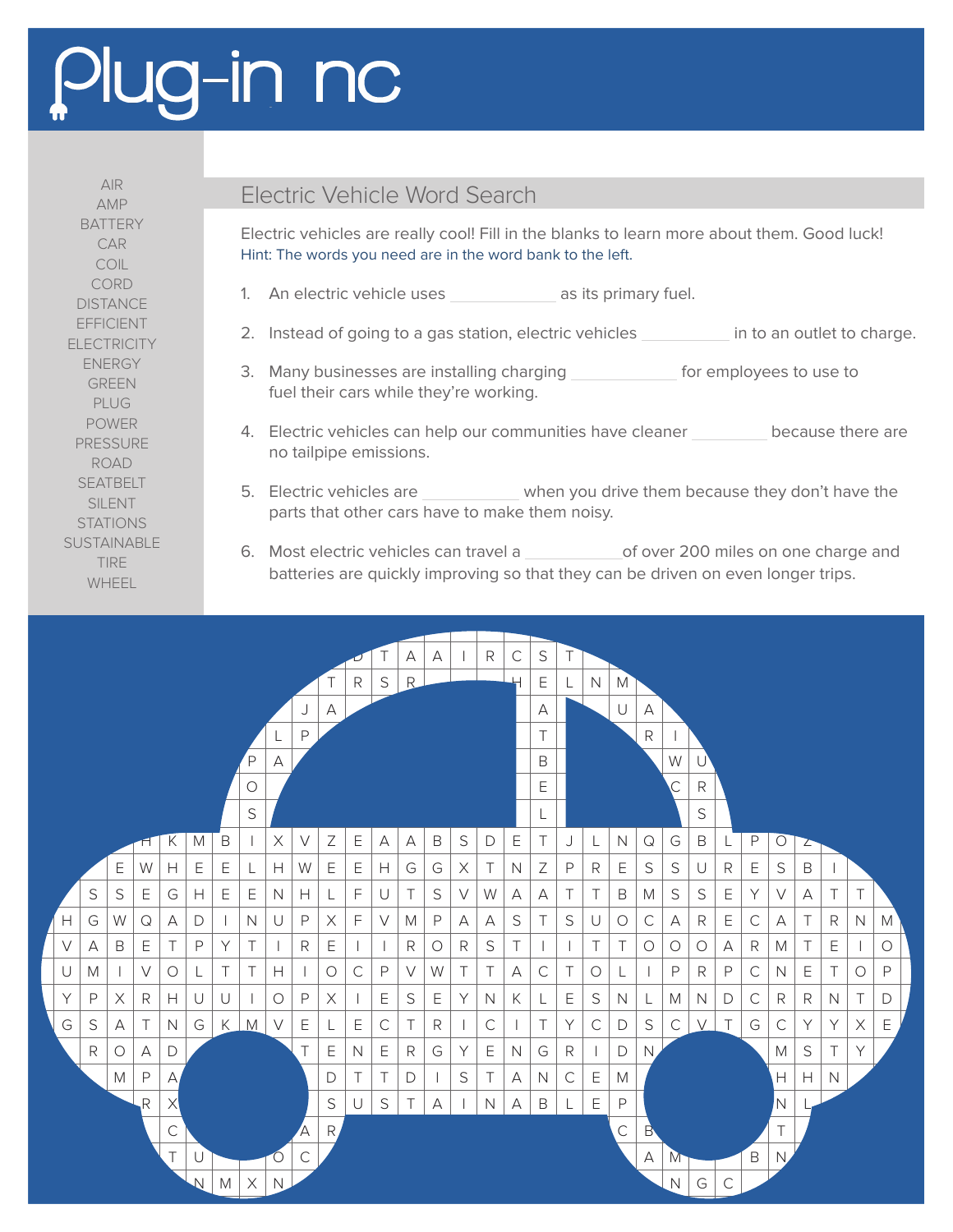## Plug-in nc

AMP **BATTERY** CAR COIL CORD **DISTANCE** EFFICIENT **ELECTRICITY** ENERGY GREEN PLUG POWER PRESSURE ROAD **SEATBELT** SILENT STATIONS SUSTAINABLE TIRE WHEEL

## AIR<br>AMP Electric Vehicle Word Search

Electric vehicles are really cool! Fill in the blanks to learn more about them. Good luck! Hint: The words you need are in the word bank to the left.

- 1. An electric vehicle uses as its primary fuel.
- 2. Instead of going to a gas station, electric vehicles in to an outlet to charge.
- 3. Many businesses are installing charging *foremployees* to use to fuel their cars while they're working.
- 4. Electric vehicles can help our communities have cleaner because there are no tailpipe emissions.
- 5. Electric vehicles are when you drive them because they don't have the parts that other cars have to make them noisy.
- 6. Most electric vehicles can travel a of over 200 miles on one charge and batteries are quickly improving so that they can be driven on even longer trips.